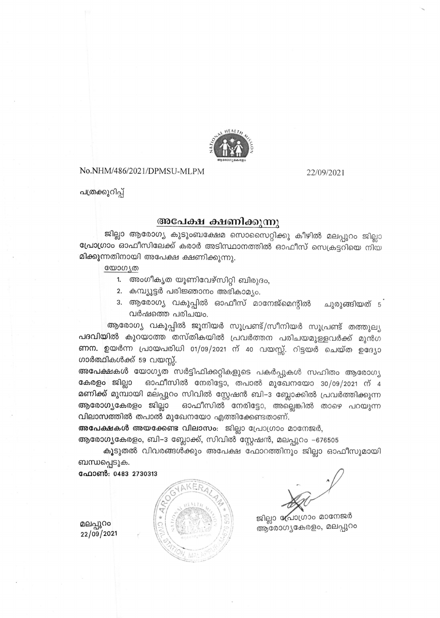

No.NHM/486/2021/DPMSU-MLPM

22/09/2021

പത്രക്കുറിപ്പ്

## അപേക്ഷ ക്ഷണിക്കുന്നു

ജില്ലാ ആരോഗ്യ കുടുംബക്ഷേമ സൊസൈറ്റിക്കു കീഴിൽ മലപ്പുറം ജില്ലാ പ്രോഗ്രാം ഓഫീസിലേക്ക് കരാർ അടിസ്ഥാനത്തിൽ ഓഫീസ് സെക്രട്ടറിയെ നിയ മിക്കുന്നതിനായി അപേക്ഷ ക്ഷണിക്കുന്നു.

യോഗ്യത

- 1. അംഗീകൃത യൂണിവേഴ്സിറ്റി ബിരുദം,
- 2. കമ്പ്യൂട്ടർ പരിജ്ഞാനം അഭികാമ്യം.
- 3. ആരോഗ്യ വകുപ്പിൽ ഓഫീസ് മാനേജ്മെന്റിൽ ചുരുങ്ങിയത്  $\mathfrak{s}^{\cdot}$ വർഷത്തെ പരിചയം.

ആരോഗ്യ വകുപ്പിൽ ജൂനിയർ സൂപ്രണ്ട്/സീനിയർ സൂപ്രണ്ട് തത്തുല്യ പദവിയിൽ കുറയാത്ത തസ്തികയിൽ പ്രവർത്തന പരിചയമുള്ളവർക്ക് മുൻഗ ണന. ഉയർന്ന പ്രായപരിധി 01/09/2021 ന് 40 വയസ്സ്. റിട്ടയർ ചെയ്ത ഉദ്യോ ഗാർത്ഥികൾക്ക് 59 വയസ്സ്.

അപേക്ഷകൾ യോഗ്യത സർട്ടിഫിക്കറ്റികളുടെ പകർപ്പുകൾ സഹിതം ആരോഗ്യ കേരളം ജില്ലാ ഓഫീസിൽ നേരിട്ടോ, തപാൽ മുഖേനയോ 30/09/2021 ന് 4 മണിക്ക് മുമ്പായി മലപ്പുറം സിവിൽ സ്റ്റേഷൻ ബി–ാ ബ്ലോക്കിൽ പ്രവർത്തിക്കുന്ന ആരോഗ്യകേരളം ജില്ലാ ഓഫീസിൽ നേരിട്ടോ, അല്ലെങ്കിൽ താഴെ പറയുന്ന വിലാസത്തിൽ തപാൽ മുഖേനയോ എത്തിക്കേണ്ടതാണ്.

അപേക്ഷകൾ അയക്കേണ്ട വിലാസം: ജില്ലാ പ്രോഗ്രാം മാനേജർ,

ആരോഗ്യകേരളം, ബി–3 ബ്ലോക്ക്, സിവിൽ സ്റ്റേഷൻ, മലപ്പുറം -676505

കൂടുതൽ വിവരങ്ങൾക്കും അപേക്ഷ ഫോറത്തിനും ജില്ലാ ഓഫീസുമായി ബന്ധപ്പെടുക.

ഫോൺ: 0483 2730313



ജില്ലാ പ്രോഗ്രാം മാനേജർ ആരോഗ്യകേരളം, മലപ്പുറം

മലപ്പുറം 22/09/2021